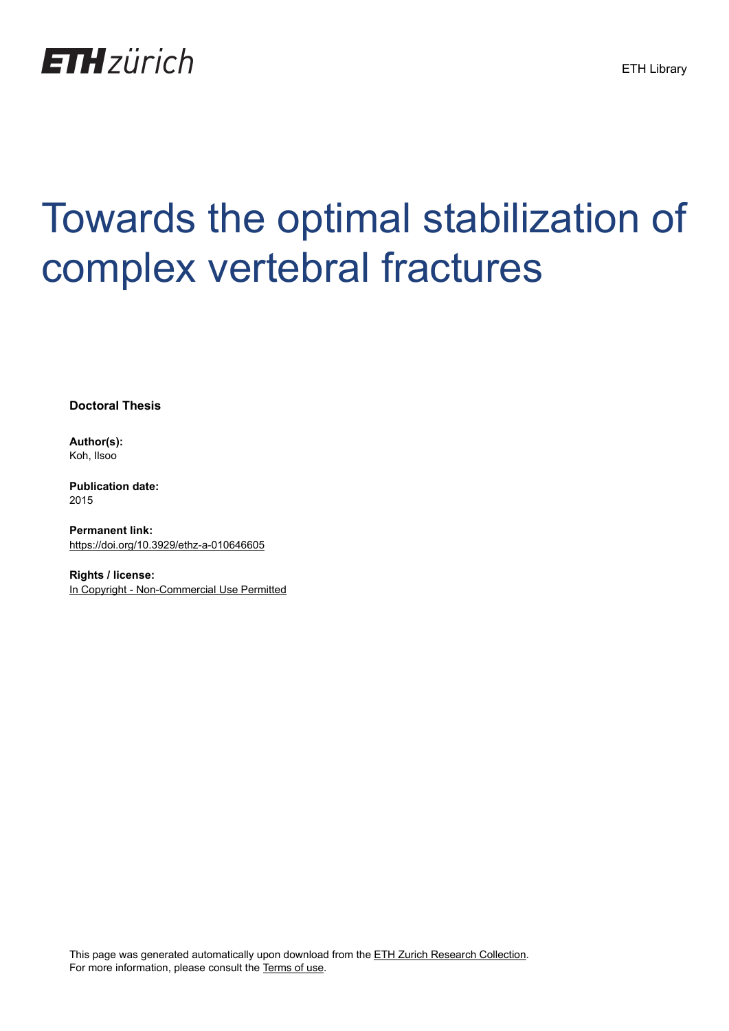

## Towards the optimal stabilization of complex vertebral fractures

**Doctoral Thesis**

**Author(s):** Koh, Ilsoo

**Publication date:** 2015

**Permanent link:** <https://doi.org/10.3929/ethz-a-010646605>

**Rights / license:** [In Copyright - Non-Commercial Use Permitted](http://rightsstatements.org/page/InC-NC/1.0/)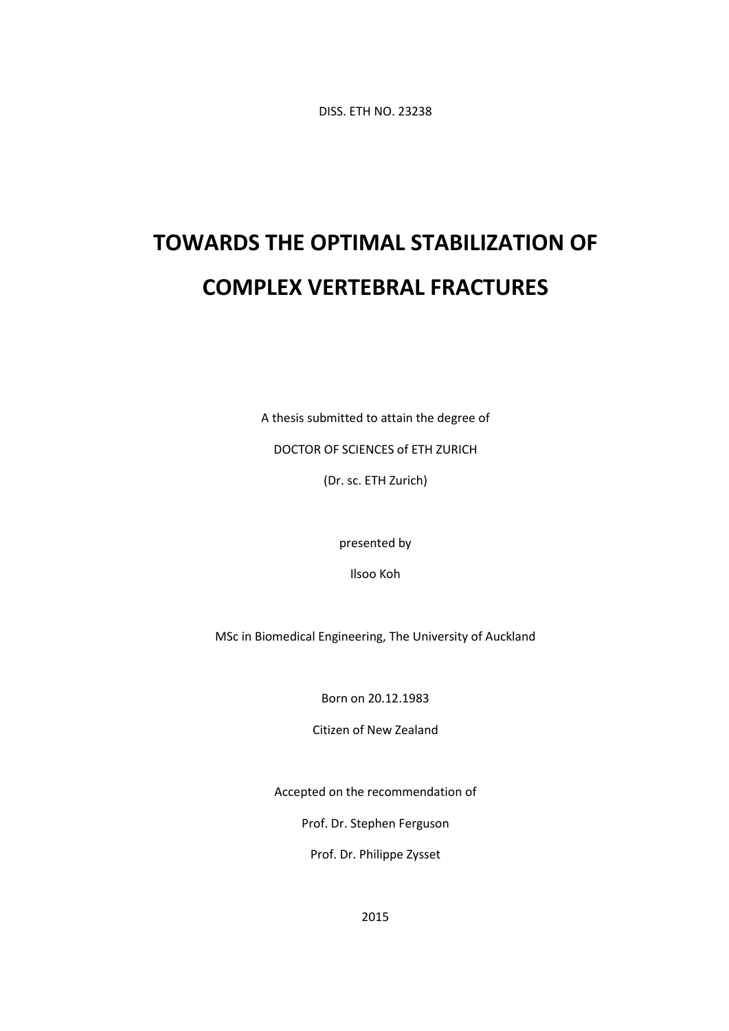DISS. ETH NO. 23238

## **TOWARDS THE OPTIMAL STABILIZATION OF COMPLEX VERTEBRAL FRACTURES**

A thesis submitted to attain the degree of

DOCTOR OF SCIENCES of ETH ZURICH

(Dr. sc. ETH Zurich)

presented by

Ilsoo Koh

MSc in Biomedical Engineering, The University of Auckland

Born on 20.12.1983

Citizen of New Zealand

Accepted on the recommendation of

Prof. Dr. Stephen Ferguson

Prof. Dr. Philippe Zysset

2015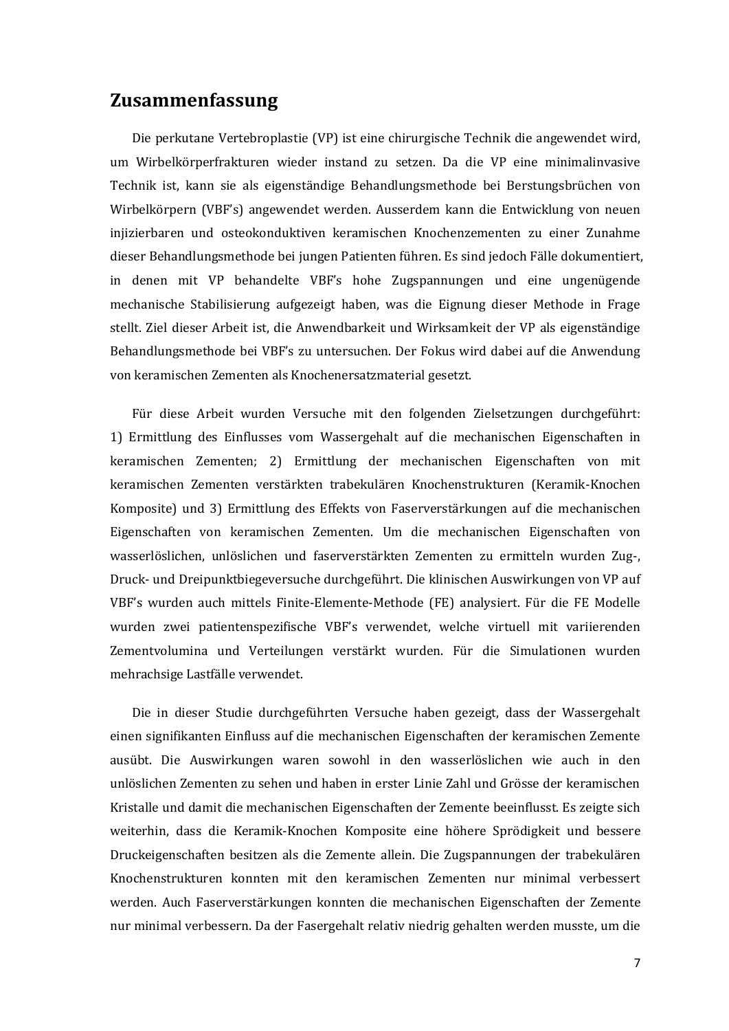## **Zusammenfassung**

Die perkutane Vertebroplastie (VP) ist eine chirurgische Technik die angewendet wird, um Wirbelkörperfrakturen wieder instand zu setzen. Da die VP eine minimalinvasive Technik ist, kann sie als eigenständige Behandlungsmethode bei Berstungsbrüchen von Wirbelkörpern (VBF's) angewendet werden. Ausserdem kann die Entwicklung von neuen injizierbaren und osteokonduktiven keramischen Knochenzementen zu einer Zunahme dieser Behandlungsmethode bei jungen Patienten führen. Es sind jedoch Fälle dokumentiert, in denen mit VP behandelte VBF's hohe Zugspannungen und eine ungenügende mechanische Stabilisierung aufgezeigt haben, was die Eignung dieser Methode in Frage stellt. Ziel dieser Arbeit ist, die Anwendbarkeit und Wirksamkeit der VP als eigenständige Behandlungsmethode bei VBF's zu untersuchen. Der Fokus wird dabei auf die Anwendung von keramischen Zementen als Knochenersatzmaterial gesetzt.

Für diese Arbeit wurden Versuche mit den folgenden Zielsetzungen durchgeführt: 1) Ermittlung des Einflusses vom Wassergehalt auf die mechanischen Eigenschaften in keramischen Zementen; 2) Ermittlung der mechanischen Eigenschaften von mit keramischen Zementen verstärkten trabekulären Knochenstrukturen (Keramik-Knochen Komposite) und 3) Ermittlung des Effekts von Faserverstärkungen auf die mechanischen Eigenschaften von keramischen Zementen. Um die mechanischen Eigenschaften von wasserlöslichen, unlöslichen und faserverstärkten Zementen zu ermitteln wurden Zug-, Druck- und Dreipunktbiegeversuche durchgeführt. Die klinischen Auswirkungen von VP auf VBF's wurden auch mittels Finite-Elemente-Methode (FE) analysiert. Für die FE Modelle wurden zwei patientenspezifische VBF's verwendet, welche virtuell mit variierenden Zementvolumina und Verteilungen verstärkt wurden. Für die Simulationen wurden mehrachsige Lastfälle verwendet.

Die in dieser Studie durchgeführten Versuche haben gezeigt, dass der Wassergehalt einen signifikanten Einfluss auf die mechanischen Eigenschaften der keramischen Zemente ausübt. Die Auswirkungen waren sowohl in den wasserlöslichen wie auch in den unlöslichen Zementen zu sehen und haben in erster Linie Zahl und Grösse der keramischen Kristalle und damit die mechanischen Eigenschaften der Zemente beeinflusst. Es zeigte sich weiterhin, dass die Keramik-Knochen Komposite eine höhere Sprödigkeit und bessere Druckeigenschaften besitzen als die Zemente allein. Die Zugspannungen der trabekulären Knochenstrukturen konnten mit den keramischen Zementen nur minimal verbessert werden. Auch Faserverstärkungen konnten die mechanischen Eigenschaften der Zemente nur minimal verbessern. Da der Fasergehalt relativ niedrig gehalten werden musste, um die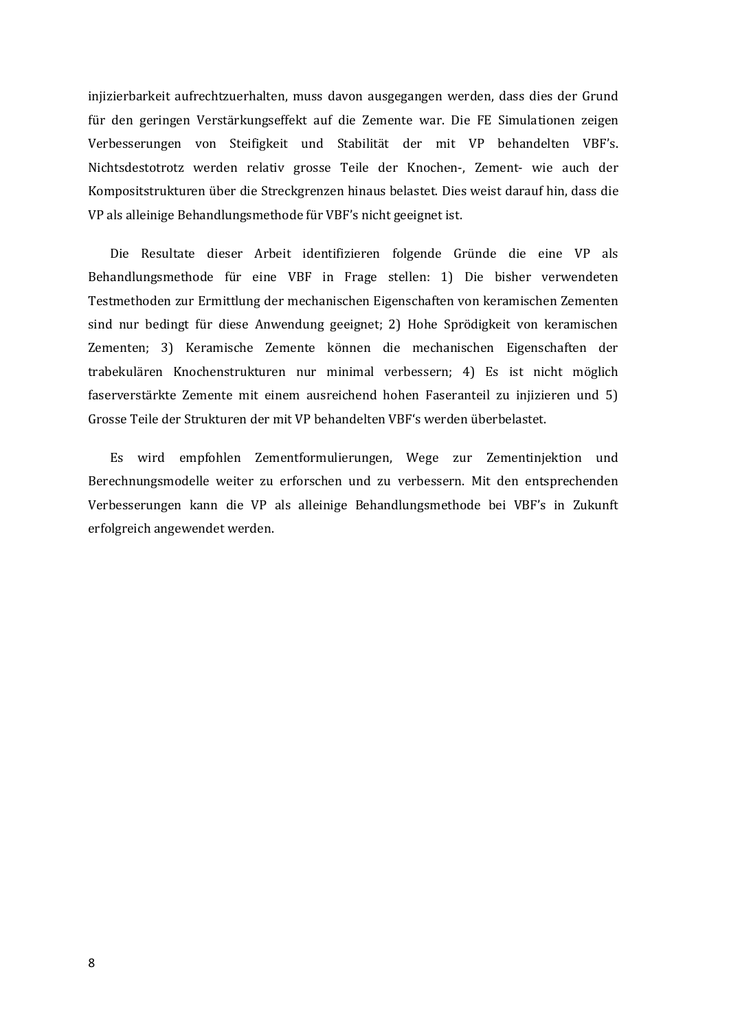injizierbarkeit aufrechtzuerhalten, muss davon ausgegangen werden, dass dies der Grund für den geringen Verstärkungseffekt auf die Zemente war. Die FE Simulationen zeigen Verbesserungen von Steifigkeit und Stabilität der mit VP behandelten VBF's. Nichtsdestotrotz werden relativ grosse Teile der Knochen-, Zement- wie auch der Kompositstrukturen über die Streckgrenzen hinaus belastet. Dies weist darauf hin, dass die VP als alleinige Behandlungsmethode für VBF's nicht geeignet ist.

Die Resultate dieser Arbeit identifizieren folgende Gründe die eine VP als Behandlungsmethode für eine VBF in Frage stellen: 1) Die bisher verwendeten Testmethoden zur Ermittlung der mechanischen Eigenschaften von keramischen Zementen sind nur bedingt für diese Anwendung geeignet; 2) Hohe Sprödigkeit von keramischen Zementen; 3) Keramische Zemente können die mechanischen Eigenschaften der trabekulären Knochenstrukturen nur minimal verbessern; 4) Es ist nicht möglich faserverstärkte Zemente mit einem ausreichend hohen Faseranteil zu injizieren und 5) Grosse Teile der Strukturen der mit VP behandelten VBF's werden überbelastet.

Es wird empfohlen Zementformulierungen, Wege zur Zementinjektion und Berechnungsmodelle weiter zu erforschen und zu verbessern. Mit den entsprechenden Verbesserungen kann die VP als alleinige Behandlungsmethode bei VBF's in Zukunft erfolgreich angewendet werden.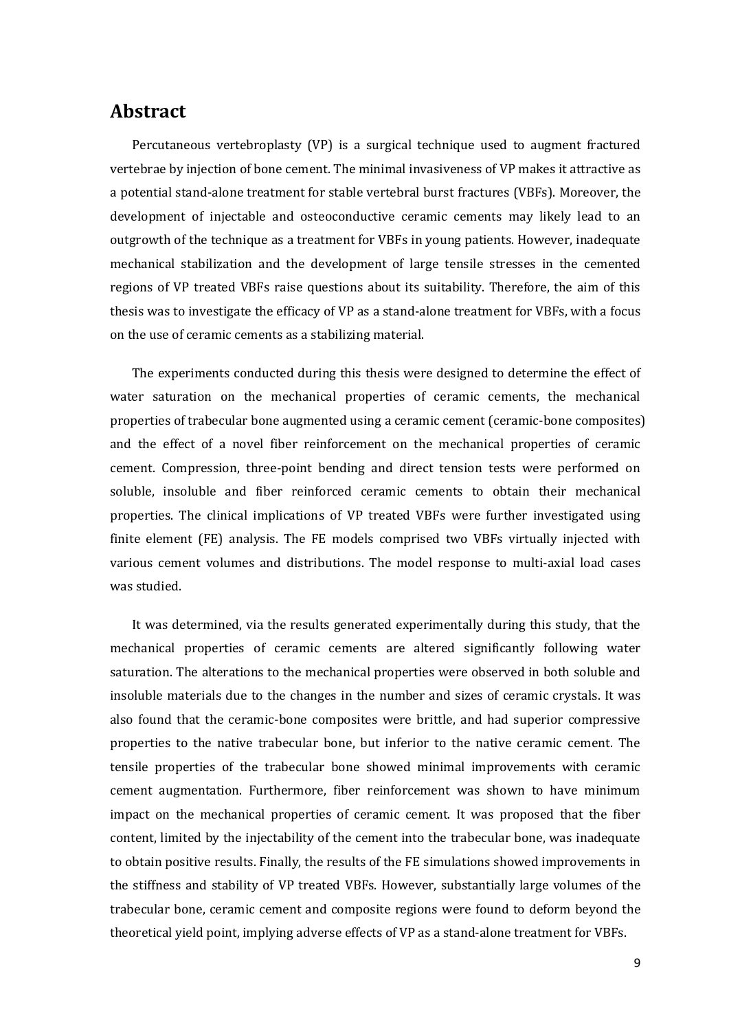## **Abstract**

Percutaneous vertebroplasty (VP) is a surgical technique used to augment fractured vertebrae by injection of bone cement. The minimal invasiveness of VP makes it attractive as a potential stand-alone treatment for stable vertebral burst fractures (VBFs). Moreover, the development of injectable and osteoconductive ceramic cements may likely lead to an outgrowth of the technique as a treatment for VBFs in young patients. However, inadequate mechanical stabilization and the development of large tensile stresses in the cemented regions of VP treated VBFs raise questions about its suitability. Therefore, the aim of this thesis was to investigate the efficacy of VP as a stand-alone treatment for VBFs, with a focus on the use of ceramic cements as a stabilizing material.

The experiments conducted during this thesis were designed to determine the effect of water saturation on the mechanical properties of ceramic cements, the mechanical properties of trabecular bone augmented using a ceramic cement (ceramic-bone composites) and the effect of a novel fiber reinforcement on the mechanical properties of ceramic cement. Compression, three-point bending and direct tension tests were performed on soluble, insoluble and fiber reinforced ceramic cements to obtain their mechanical properties. The clinical implications of VP treated VBFs were further investigated using finite element (FE) analysis. The FE models comprised two VBFs virtually injected with various cement volumes and distributions. The model response to multi-axial load cases was studied.

It was determined, via the results generated experimentally during this study, that the mechanical properties of ceramic cements are altered significantly following water saturation. The alterations to the mechanical properties were observed in both soluble and insoluble materials due to the changes in the number and sizes of ceramic crystals. It was also found that the ceramic-bone composites were brittle, and had superior compressive properties to the native trabecular bone, but inferior to the native ceramic cement. The tensile properties of the trabecular bone showed minimal improvements with ceramic cement augmentation. Furthermore, fiber reinforcement was shown to have minimum impact on the mechanical properties of ceramic cement. It was proposed that the fiber content, limited by the injectability of the cement into the trabecular bone, was inadequate to obtain positive results. Finally, the results of the FE simulations showed improvements in the stiffness and stability of VP treated VBFs. However, substantially large volumes of the trabecular bone, ceramic cement and composite regions were found to deform beyond the theoretical yield point, implying adverse effects of VP as a stand-alone treatment for VBFs.